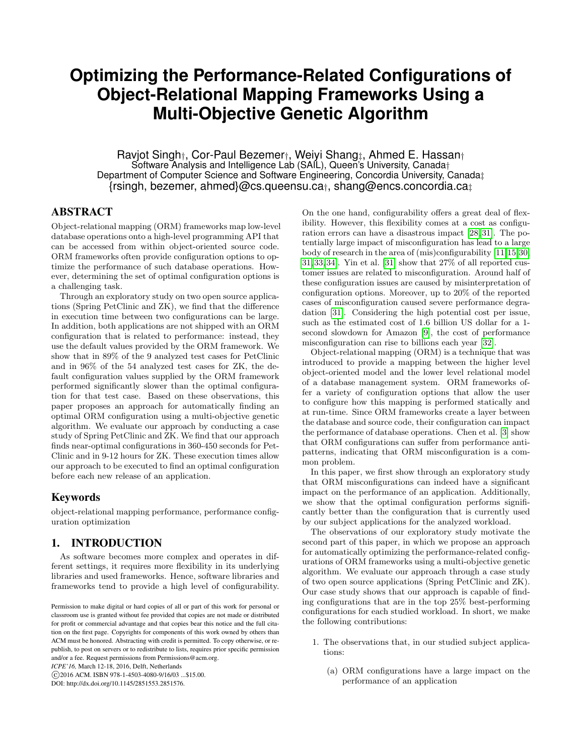# **Optimizing the Performance-Related Configurations of Object-Relational Mapping Frameworks Using a Multi-Objective Genetic Algorithm**

Ravjot Singh†, Cor-Paul Bezemer†, Weiyi Shang‡, Ahmed E. Hassan† Software Analysis and Intelligence Lab (SAIL), Queen's University, Canada† Department of Computer Science and Software Engineering, Concordia University, Canada‡ {rsingh, bezemer, ahmed}@cs.queensu.ca†, shang@encs.concordia.ca‡

# ABSTRACT

Object-relational mapping (ORM) frameworks map low-level database operations onto a high-level programming API that can be accessed from within object-oriented source code. ORM frameworks often provide configuration options to optimize the performance of such database operations. However, determining the set of optimal configuration options is a challenging task.

Through an exploratory study on two open source applications (Spring PetClinic and ZK), we find that the difference in execution time between two configurations can be large. In addition, both applications are not shipped with an ORM configuration that is related to performance: instead, they use the default values provided by the ORM framework. We show that in 89% of the 9 analyzed test cases for PetClinic and in 96% of the 54 analyzed test cases for ZK, the default configuration values supplied by the ORM framework performed significantly slower than the optimal configuration for that test case. Based on these observations, this paper proposes an approach for automatically finding an optimal ORM configuration using a multi-objective genetic algorithm. We evaluate our approach by conducting a case study of Spring PetClinic and ZK. We find that our approach finds near-optimal configurations in 360-450 seconds for Pet-Clinic and in 9-12 hours for ZK. These execution times allow our approach to be executed to find an optimal configuration before each new release of an application.

## Keywords

object-relational mapping performance, performance configuration optimization

## 1. INTRODUCTION

As software becomes more complex and operates in different settings, it requires more flexibility in its underlying libraries and used frameworks. Hence, software libraries and frameworks tend to provide a high level of configurability.

*ICPE'16,* March 12-18, 2016, Delft, Netherlands

c 2016 ACM. ISBN 978-1-4503-4080-9/16/03 ...\$15.00.

DOI: http://dx.doi.org/10.1145/2851553.2851576.

On the one hand, configurability offers a great deal of flexibility. However, this flexibility comes at a cost as configuration errors can have a disastrous impact [\[28,](#page-11-0) [31\]](#page-11-1). The potentially large impact of misconfiguration has lead to a large body of research in the area of (mis)configurability [\[11,](#page-10-0)[15](#page-11-2)[,30,](#page-11-3) [31,](#page-11-1) [33,](#page-11-4) [34\]](#page-11-5). Yin et al. [\[31\]](#page-11-1) show that 27% of all reported customer issues are related to misconfiguration. Around half of these configuration issues are caused by misinterpretation of configuration options. Moreover, up to 20% of the reported cases of misconfiguration caused severe performance degradation [\[31\]](#page-11-1). Considering the high potential cost per issue, such as the estimated cost of 1.6 billion US dollar for a 1 second slowdown for Amazon [\[9\]](#page-10-1), the cost of performance misconfiguration can rise to billions each year [\[32\]](#page-11-6).

Object-relational mapping (ORM) is a technique that was introduced to provide a mapping between the higher level object-oriented model and the lower level relational model of a database management system. ORM frameworks offer a variety of configuration options that allow the user to configure how this mapping is performed statically and at run-time. Since ORM frameworks create a layer between the database and source code, their configuration can impact the performance of database operations. Chen et al. [\[3\]](#page-10-2) show that ORM configurations can suffer from performance antipatterns, indicating that ORM misconfiguration is a common problem.

In this paper, we first show through an exploratory study that ORM misconfigurations can indeed have a significant impact on the performance of an application. Additionally, we show that the optimal configuration performs significantly better than the configuration that is currently used by our subject applications for the analyzed workload.

The observations of our exploratory study motivate the second part of this paper, in which we propose an approach for automatically optimizing the performance-related configurations of ORM frameworks using a multi-objective genetic algorithm. We evaluate our approach through a case study of two open source applications (Spring PetClinic and ZK). Our case study shows that our approach is capable of finding configurations that are in the top 25% best-performing configurations for each studied workload. In short, we make the following contributions:

- 1. The observations that, in our studied subject applications:
	- (a) ORM configurations have a large impact on the performance of an application

Permission to make digital or hard copies of all or part of this work for personal or classroom use is granted without fee provided that copies are not made or distributed for profit or commercial advantage and that copies bear this notice and the full citation on the first page. Copyrights for components of this work owned by others than ACM must be honored. Abstracting with credit is permitted. To copy otherwise, or republish, to post on servers or to redistribute to lists, requires prior specific permission and/or a fee. Request permissions from Permissions@acm.org.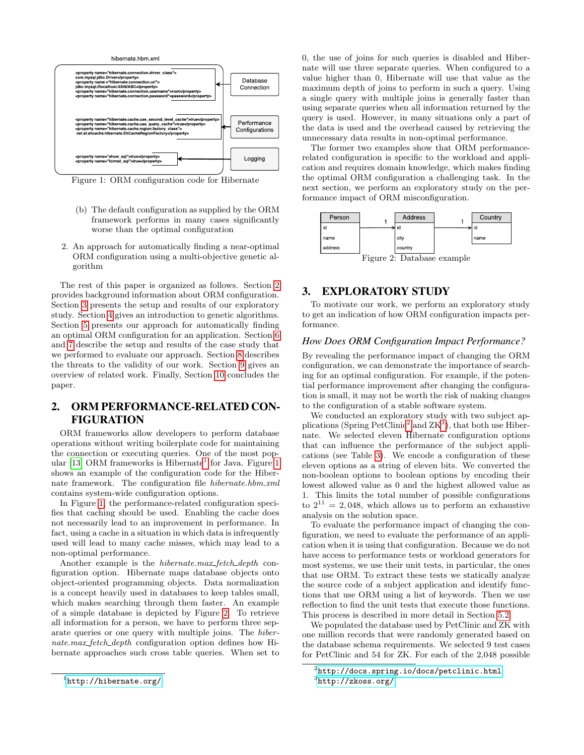<span id="page-1-3"></span>

Figure 1: ORM configuration code for Hibernate

- (b) The default configuration as supplied by the ORM framework performs in many cases significantly worse than the optimal configuration
- 2. An approach for automatically finding a near-optimal ORM configuration using a multi-objective genetic algorithm

The rest of this paper is organized as follows. Section [2](#page-1-0) provides background information about ORM configuration. Section [3](#page-1-1) presents the setup and results of our exploratory study. Section [4](#page-2-0) gives an introduction to genetic algorithms. Section [5](#page-4-0) presents our approach for automatically finding an optimal ORM configuration for an application. Section [6](#page-5-0) and [7](#page-6-0) describe the setup and results of the case study that we performed to evaluate our approach. Section [8](#page-8-0) describes the threats to the validity of our work. Section [9](#page-9-0) gives an overview of related work. Finally, Section [10](#page-10-3) concludes the paper.

# <span id="page-1-0"></span>2. ORM PERFORMANCE-RELATED CON-FIGURATION

ORM frameworks allow developers to perform database operations without writing boilerplate code for maintaining the connection or executing queries. One of the most pop-ular [\[13\]](#page-11-7) ORM frameworks is Hibernate<sup>[1](#page-1-2)</sup> for Java. Figure [1](#page-1-3) shows an example of the configuration code for the Hibernate framework. The configuration file *hibernate.hbm.xml* contains system-wide configuration options.

In Figure [1,](#page-1-3) the performance-related configuration specifies that caching should be used. Enabling the cache does not necessarily lead to an improvement in performance. In fact, using a cache in a situation in which data is infrequently used will lead to many cache misses, which may lead to a non-optimal performance.

Another example is the *hibernate.max fetch depth* configuration option. Hibernate maps database objects onto object-oriented programming objects. Data normalization is a concept heavily used in databases to keep tables small, which makes searching through them faster. An example of a simple database is depicted by Figure [2.](#page-1-4) To retrieve all information for a person, we have to perform three separate queries or one query with multiple joins. The *hibernate.max fetch depth* configuration option defines how Hibernate approaches such cross table queries. When set to 0, the use of joins for such queries is disabled and Hibernate will use three separate queries. When configured to a value higher than 0, Hibernate will use that value as the maximum depth of joins to perform in such a query. Using a single query with multiple joins is generally faster than using separate queries when all information returned by the query is used. However, in many situations only a part of the data is used and the overhead caused by retrieving the unnecessary data results in non-optimal performance.

The former two examples show that ORM performancerelated configuration is specific to the workload and application and requires domain knowledge, which makes finding the optimal ORM configuration a challenging task. In the next section, we perform an exploratory study on the performance impact of ORM misconfiguration.

<span id="page-1-4"></span>

## <span id="page-1-1"></span>3. EXPLORATORY STUDY

To motivate our work, we perform an exploratory study to get an indication of how ORM configuration impacts performance.

#### *How Does ORM Configuration Impact Performance?*

By revealing the performance impact of changing the ORM configuration, we can demonstrate the importance of searching for an optimal configuration. For example, if the potential performance improvement after changing the configuration is small, it may not be worth the risk of making changes to the configuration of a stable software system.

We conducted an exploratory study with two subject ap-plications (Spring PetClinic<sup>[2](#page-1-5)</sup> and  $ZK^3$  $ZK^3$ ), that both use Hibernate. We selected eleven Hibernate configuration options that can influence the performance of the subject applications (see Table [3\)](#page-2-1). We encode a configuration of these eleven options as a string of eleven bits. We converted the non-boolean options to boolean options by encoding their lowest allowed value as 0 and the highest allowed value as 1. This limits the total number of possible configurations to  $2^{11} = 2,048$ , which allows us to perform an exhaustive analysis on the solution space.

To evaluate the performance impact of changing the configuration, we need to evaluate the performance of an application when it is using that configuration. Because we do not have access to performance tests or workload generators for most systems, we use their unit tests, in particular, the ones that use ORM. To extract these tests we statically analyze the source code of a subject application and identify functions that use ORM using a list of keywords. Then we use reflection to find the unit tests that execute those functions. This process is described in more detail in Section [5.2.](#page-5-1)

We populated the database used by PetClinic and ZK with one million records that were randomly generated based on the database schema requirements. We selected 9 test cases for PetClinic and 54 for ZK. For each of the 2,048 possible

<span id="page-1-2"></span><sup>&</sup>lt;sup>1</sup><http://hibernate.org/>

<span id="page-1-5"></span> $^{2}$ <http://docs.spring.io/docs/petclinic.html>

<span id="page-1-6"></span><sup>3</sup> <http://zkoss.org/>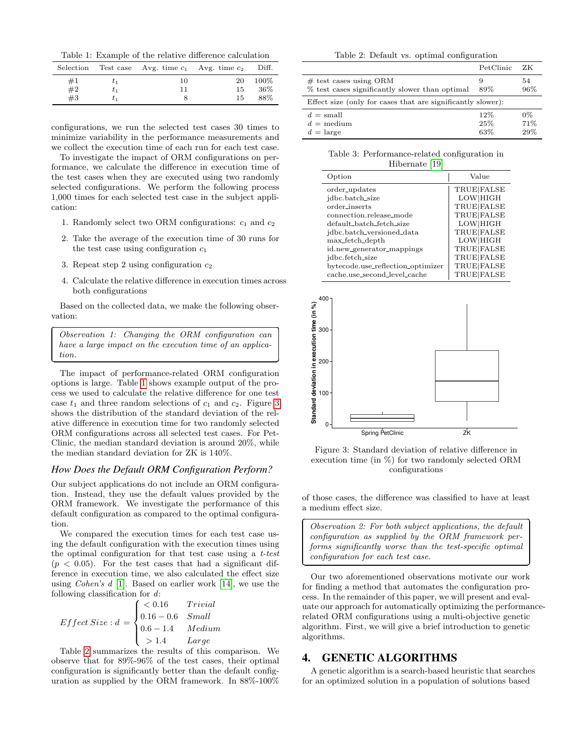<span id="page-2-2"></span>Table 1: Example of the relative difference calculation

| Selection      | Test case Avg. time $c_1$ Avg. time $c_2$ |                | Diff.                 |
|----------------|-------------------------------------------|----------------|-----------------------|
| #1<br>#2<br>#3 | 10<br>11                                  | 20<br>15<br>15 | $100\%$<br>36%<br>88% |

configurations, we run the selected test cases 30 times to minimize variability in the performance measurements and we collect the execution time of each run for each test case.

To investigate the impact of ORM configurations on performance, we calculate the difference in execution time of the test cases when they are executed using two randomly selected configurations. We perform the following process 1,000 times for each selected test case in the subject application:

- 1. Randomly select two ORM configurations:  $c_1$  and  $c_2$
- 2. Take the average of the execution time of 30 runs for the test case using configuration  $c_1$
- 3. Repeat step 2 using configuration  $c_2$

✄

 $\overline{a}$ 

4. Calculate the relative difference in execution times across both configurations

Ĭ.

Į.

✄

Ļ

Based on the collected data, we make the following observation:

*Observation 1: Changing the ORM configuration can have a large impact on the execution time of an application.*

The impact of performance-related ORM configuration options is large. Table [1](#page-2-2) shows example output of the process we used to calculate the relative difference for one test case  $t_1$  and three random selections of  $c_1$  and  $c_2$ . Figure [3](#page-2-3) shows the distribution of the standard deviation of the relative difference in execution time for two randomly selected ORM configurations across all selected test cases. For Pet-Clinic, the median standard deviation is around 20%, while the median standard deviation for ZK is 140%.

#### *How Does the Default ORM Configuration Perform?*

Our subject applications do not include an ORM configuration. Instead, they use the default values provided by the ORM framework. We investigate the performance of this default configuration as compared to the optimal configuration.

We compared the execution times for each test case using the default configuration with the execution times using the optimal configuration for that test case using a *t-test*  $(p < 0.05)$ . For the test cases that had a significant difference in execution time, we also calculated the effect size using *Cohen's d* [\[1\]](#page-10-4). Based on earlier work [\[14\]](#page-11-8), we use the following classification for *d*:

| $Effect~Size: d = \begin{cases} < 0.16 & Trivial \\ 0.16 - 0.6 & Small \\ 0.6 - 1.4 & Medium \end{cases}$ |                     |  |
|-----------------------------------------------------------------------------------------------------------|---------------------|--|
|                                                                                                           | $\vert$ > 1.4 Large |  |

Table [2](#page-2-4) summarizes the results of this comparison. We observe that for 89%-96% of the test cases, their optimal configuration is significantly better than the default configuration as supplied by the ORM framework. In 88%-100%

Table 2: Default vs. optimal configuration

<span id="page-2-4"></span>

|                                                                            | PetClinic         | ZK                  |  |
|----------------------------------------------------------------------------|-------------------|---------------------|--|
| $#$ test cases using ORM<br>% test cases significantly slower than optimal | 89%               | 54<br>96%           |  |
| Effect size (only for cases that are significantly slower):                |                   |                     |  |
| $d = \text{small}$<br>$d = \text{medium}$<br>$d = \text{large}$            | 12%<br>25%<br>63% | $0\%$<br>71%<br>29% |  |

<span id="page-2-1"></span>Table 3: Performance-related configuration in Hibernate [\[19\]](#page-11-9)

| Option                            | Value             |
|-----------------------------------|-------------------|
| order_updates                     | <b>TRUE</b> FALSE |
| jdbc.batch_size                   | LOW HIGH          |
| order_inserts                     | <b>TRUE FALSE</b> |
| connection.release mode           | <b>TRUE</b> FALSE |
| default batch fetch size          | LOW HIGH          |
| idbc.batch_versioned_data         | <b>TRUE FALSE</b> |
| max_fetch_depth                   | LOW HIGH          |
| id.new_generator_mappings         | <b>TRUE FALSE</b> |
| idbc.fetch_size                   | <b>TRUE FALSE</b> |
| bytecode.use_reflection_optimizer | <b>TRUE</b> FALSE |
| cache.use_second_level_cache      | <b>TRUE</b> FALSE |
|                                   |                   |

<span id="page-2-3"></span>

Figure 3: Standard deviation of relative difference in execution time (in %) for two randomly selected ORM configurations

of those cases, the difference was classified to have at least a medium effect size.

Ĭ.

Į.

*Observation 2: For both subject applications, the default configuration as supplied by the ORM framework performs significantly worse than the test-specific optimal configuration for each test case.*

Our two aforementioned observations motivate our work for finding a method that automates the configuration process. In the remainder of this paper, we will present and evaluate our approach for automatically optimizing the performancerelated ORM configurations using a multi-objective genetic algorithm. First, we will give a brief introduction to genetic algorithms.

# <span id="page-2-0"></span>4. GENETIC ALGORITHMS

A genetic algorithm is a search-based heuristic that searches for an optimized solution in a population of solutions based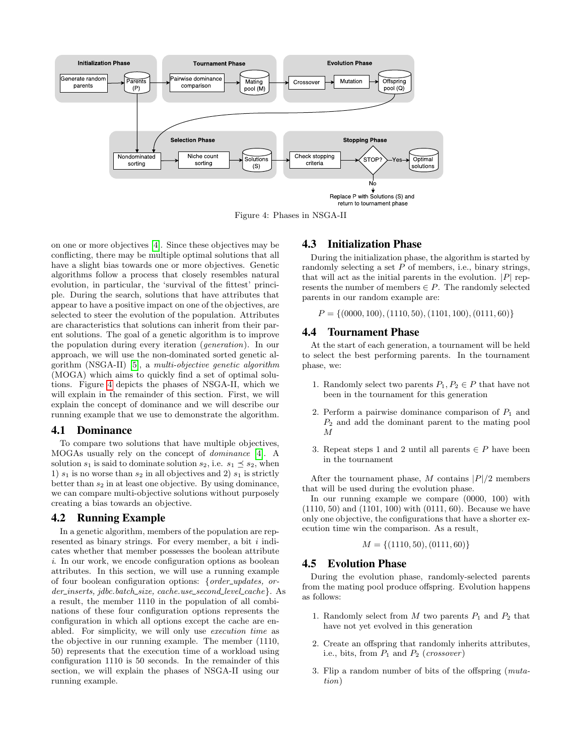<span id="page-3-0"></span>

Figure 4: Phases in NSGA-II

on one or more objectives [\[4\]](#page-10-5). Since these objectives may be conflicting, there may be multiple optimal solutions that all have a slight bias towards one or more objectives. Genetic algorithms follow a process that closely resembles natural evolution, in particular, the 'survival of the fittest' principle. During the search, solutions that have attributes that appear to have a positive impact on one of the objectives, are selected to steer the evolution of the population. Attributes are characteristics that solutions can inherit from their parent solutions. The goal of a genetic algorithm is to improve the population during every iteration (*generation*). In our approach, we will use the non-dominated sorted genetic algorithm (NSGA-II) [\[5\]](#page-10-6), a *multi-objective genetic algorithm* (MOGA) which aims to quickly find a set of optimal solutions. Figure [4](#page-3-0) depicts the phases of NSGA-II, which we will explain in the remainder of this section. First, we will explain the concept of dominance and we will describe our running example that we use to demonstrate the algorithm.

#### 4.1 Dominance

To compare two solutions that have multiple objectives, MOGAs usually rely on the concept of *dominance* [\[4\]](#page-10-5). A solution  $s_1$  is said to dominate solution  $s_2$ , i.e.  $s_1 \preceq s_2$ , when 1)  $s_1$  is no worse than  $s_2$  in all objectives and 2)  $s_1$  is strictly better than  $s_2$  in at least one objective. By using dominance, we can compare multi-objective solutions without purposely creating a bias towards an objective.

## 4.2 Running Example

In a genetic algorithm, members of the population are represented as binary strings. For every member, a bit *i* indicates whether that member possesses the boolean attribute *i*. In our work, we encode configuration options as boolean attributes. In this section, we will use a running example of four boolean configuration options: {*order updates, order inserts, jdbc.batch size, cache.use second level cache*}. As a result, the member 1110 in the population of all combinations of these four configuration options represents the configuration in which all options except the cache are enabled. For simplicity, we will only use *execution time* as the objective in our running example. The member (1110, 50) represents that the execution time of a workload using configuration 1110 is 50 seconds. In the remainder of this section, we will explain the phases of NSGA-II using our running example.

# 4.3 Initialization Phase

During the initialization phase, the algorithm is started by randomly selecting a set  $P$  of members, i.e., binary strings, that will act as the initial parents in the evolution.  $|P|$  represents the number of members  $\in P$ . The randomly selected parents in our random example are:

 $P = \{(0000, 100), (1110, 50), (1101, 100), (0111, 60)\}$ 

## 4.4 Tournament Phase

At the start of each generation, a tournament will be held to select the best performing parents. In the tournament phase, we:

- 1. Randomly select two parents  $P_1, P_2 \in P$  that have not been in the tournament for this generation
- 2. Perform a pairwise dominance comparison of  $P_1$  and  $P_2$  and add the dominant parent to the mating pool M
- 3. Repeat steps 1 and 2 until all parents  $\in P$  have been in the tournament

After the tournament phase, M contains  $|P|/2$  members that will be used during the evolution phase.

In our running example we compare (0000, 100) with (1110, 50) and (1101, 100) with (0111, 60). Because we have only one objective, the configurations that have a shorter execution time win the comparison. As a result,

$$
M = \{(1110, 50), (0111, 60)\}
$$

#### 4.5 Evolution Phase

During the evolution phase, randomly-selected parents from the mating pool produce offspring. Evolution happens as follows:

- 1. Randomly select from  $M$  two parents  $P_1$  and  $P_2$  that have not yet evolved in this generation
- 2. Create an offspring that randomly inherits attributes, i.e., bits, from  $P_1$  and  $P_2$  (*crossover*)
- 3. Flip a random number of bits of the offspring (*mutation*)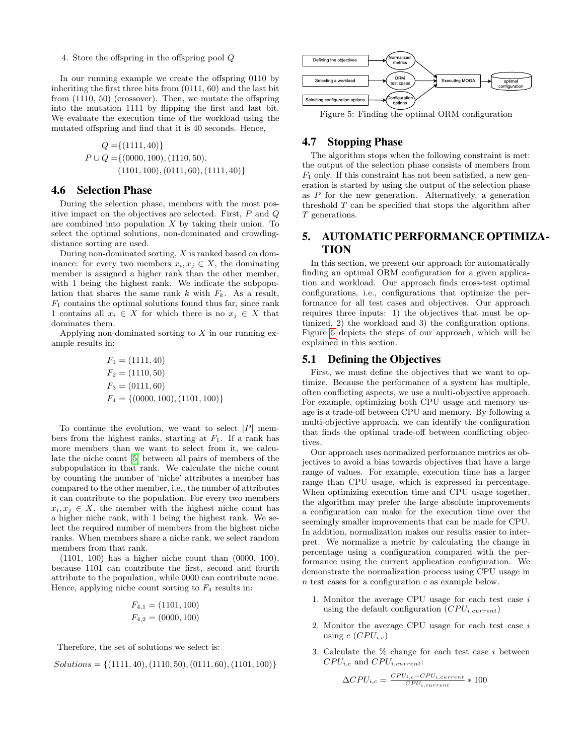In our running example we create the offspring 0110 by inheriting the first three bits from (0111, 60) and the last bit from (1110, 50) (crossover). Then, we mutate the offspring into the mutation 1111 by flipping the first and last bit. We evaluate the execution time of the workload using the mutated offspring and find that it is 40 seconds. Hence,

$$
Q = \{(1111, 40)\}
$$
  
\n
$$
P \cup Q = \{(0000, 100), (1110, 50),
$$
  
\n
$$
(1101, 100), (0111, 60), (1111, 40)\}
$$

## 4.6 Selection Phase

During the selection phase, members with the most positive impact on the objectives are selected. First, P and Q are combined into population  $X$  by taking their union. To select the optimal solutions, non-dominated and crowdingdistance sorting are used.

During non-dominated sorting, X is ranked based on dominance: for every two members  $x_i, x_j \in X$ , the dominating member is assigned a higher rank than the other member, with 1 being the highest rank. We indicate the subpopulation that shares the same rank k with  $F_k$ . As a result,  $F_1$  contains the optimal solutions found thus far, since rank 1 contains all  $x_i \in X$  for which there is no  $x_j \in X$  that dominates them.

Applying non-dominated sorting to  $X$  in our running example results in:

$$
F_1 = (1111, 40)
$$
  
\n
$$
F_2 = (1110, 50)
$$
  
\n
$$
F_3 = (0111, 60)
$$
  
\n
$$
F_4 = \{(0000, 100), (1101, 100)\}
$$

To continue the evolution, we want to select  $|P|$  members from the highest ranks, starting at  $F_1$ . If a rank has more members than we want to select from it, we calculate the niche count [\[5\]](#page-10-6) between all pairs of members of the subpopulation in that rank. We calculate the niche count by counting the number of 'niche' attributes a member has compared to the other member, i.e., the number of attributes it can contribute to the population. For every two members  $x_i, x_j \in X$ , the member with the highest niche count has a higher niche rank, with 1 being the highest rank. We select the required number of members from the highest niche ranks. When members share a niche rank, we select random members from that rank.

(1101, 100) has a higher niche count than (0000, 100), because 1101 can contribute the first, second and fourth attribute to the population, while 0000 can contribute none. Hence, applying niche count sorting to  $F_4$  results in:

$$
F_{4,1} = (1101, 100)
$$
  

$$
F_{4,2} = (0000, 100)
$$

Therefore, the set of solutions we select is:

 $Solutions = \{(1111, 40), (1110, 50), (0111, 60), (1101, 100)\}\$ 

<span id="page-4-1"></span>

Figure 5: Finding the optimal ORM configuration

## 4.7 Stopping Phase

The algorithm stops when the following constraint is met: the output of the selection phase consists of members from  $F_1$  only. If this constraint has not been satisfied, a new generation is started by using the output of the selection phase as  $P$  for the new generation. Alternatively, a generation threshold  $T$  can be specified that stops the algorithm after T generations.

# <span id="page-4-0"></span>5. AUTOMATIC PERFORMANCE OPTIMIZA-TION

In this section, we present our approach for automatically finding an optimal ORM configuration for a given application and workload. Our approach finds cross-test optimal configurations, i.e., configurations that optimize the performance for all test cases and objectives. Our approach requires three inputs: 1) the objectives that must be optimized, 2) the workload and 3) the configuration options. Figure [5](#page-4-1) depicts the steps of our approach, which will be explained in this section.

#### 5.1 Defining the Objectives

First, we must define the objectives that we want to optimize. Because the performance of a system has multiple, often conflicting aspects, we use a multi-objective approach. For example, optimizing both CPU usage and memory usage is a trade-off between CPU and memory. By following a multi-objective approach, we can identify the configuration that finds the optimal trade-off between conflicting objectives.

Our approach uses normalized performance metrics as objectives to avoid a bias towards objectives that have a large range of values. For example, execution time has a larger range than CPU usage, which is expressed in percentage. When optimizing execution time and CPU usage together, the algorithm may prefer the large absolute improvements a configuration can make for the execution time over the seemingly smaller improvements that can be made for CPU. In addition, normalization makes our results easier to interpret. We normalize a metric by calculating the change in percentage using a configuration compared with the performance using the current application configuration. We demonstrate the normalization process using CPU usage in  $n$  test cases for a configuration  $c$  as example below.

- 1. Monitor the average CPU usage for each test case i using the default configuration  $(CPU_{i,current})$
- 2. Monitor the average CPU usage for each test case i using c  $(CPU_{i,c})$
- 3. Calculate the  $%$  change for each test case  $i$  between  $CPU_{i,c}$  and  $CPU_{i,current}$ :

$$
\Delta CPU_{i,c} = \frac{CPU_{i,c} - CPU_{i,current}}{CPU_{i,current}} * 100
$$

<sup>4.</sup> Store the offspring in the offspring pool Q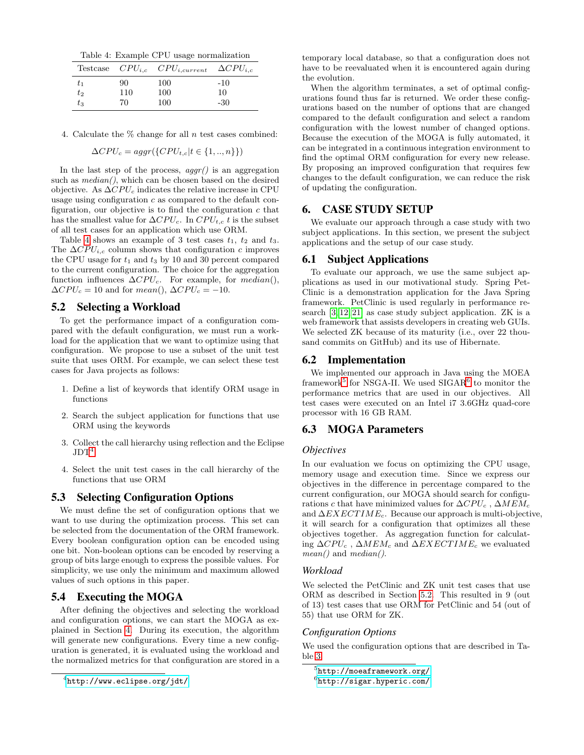Table 4: Example CPU usage normalization

<span id="page-5-2"></span>

|         |     | Testcase $CPU_{i,c}$ $CPU_{i,current}$ $\Delta CPU_{i,c}$ |       |
|---------|-----|-----------------------------------------------------------|-------|
| t1      | 90  | 100                                                       | $-10$ |
| $t_2$   | 110 | 100                                                       | 10    |
| $t_{3}$ | 70  | 100                                                       | $-30$ |

4. Calculate the  $%$  change for all  $n$  test cases combined:

$$
\Delta CPU_c = aggr({\lbrace CPU_{t,c} | t \in \{1,..,n\}\rbrace})
$$

In the last step of the process, *aggr()* is an aggregation such as *median()*, which can be chosen based on the desired objective. As  $\Delta CPU_c$  indicates the relative increase in CPU usage using configuration  $c$  as compared to the default configuration, our objective is to find the configuration  $c$  that has the smallest value for  $\Delta CPU_c$ . In  $CPU_{t,c}$  *t* is the subset of all test cases for an application which use ORM.

Table [4](#page-5-2) shows an example of 3 test cases  $t_1$ ,  $t_2$  and  $t_3$ . The  $\Delta CPU_{i,c}$  column shows that configuration c improves the CPU usage for  $t_1$  and  $t_3$  by 10 and 30 percent compared to the current configuration. The choice for the aggregation function influences  $\Delta CPU_c$ . For example, for median(),  $\Delta CPU_c = 10$  and for mean(),  $\Delta CPU_c = -10$ .

#### <span id="page-5-1"></span>5.2 Selecting a Workload

To get the performance impact of a configuration compared with the default configuration, we must run a workload for the application that we want to optimize using that configuration. We propose to use a subset of the unit test suite that uses ORM. For example, we can select these test cases for Java projects as follows:

- 1. Define a list of keywords that identify ORM usage in functions
- 2. Search the subject application for functions that use ORM using the keywords
- 3. Collect the call hierarchy using reflection and the Eclipse  $JDT<sup>4</sup>$  $JDT<sup>4</sup>$  $JDT<sup>4</sup>$
- 4. Select the unit test cases in the call hierarchy of the functions that use ORM

#### 5.3 Selecting Configuration Options

We must define the set of configuration options that we want to use during the optimization process. This set can be selected from the documentation of the ORM framework. Every boolean configuration option can be encoded using one bit. Non-boolean options can be encoded by reserving a group of bits large enough to express the possible values. For simplicity, we use only the minimum and maximum allowed values of such options in this paper.

## 5.4 Executing the MOGA

After defining the objectives and selecting the workload and configuration options, we can start the MOGA as explained in Section [4.](#page-2-0) During its execution, the algorithm will generate new configurations. Every time a new configuration is generated, it is evaluated using the workload and the normalized metrics for that configuration are stored in a

temporary local database, so that a configuration does not have to be reevaluated when it is encountered again during the evolution.

When the algorithm terminates, a set of optimal configurations found thus far is returned. We order these configurations based on the number of options that are changed compared to the default configuration and select a random configuration with the lowest number of changed options. Because the execution of the MOGA is fully automated, it can be integrated in a continuous integration environment to find the optimal ORM configuration for every new release. By proposing an improved configuration that requires few changes to the default configuration, we can reduce the risk of updating the configuration.

## <span id="page-5-0"></span>6. CASE STUDY SETUP

We evaluate our approach through a case study with two subject applications. In this section, we present the subject applications and the setup of our case study.

## 6.1 Subject Applications

To evaluate our approach, we use the same subject applications as used in our motivational study. Spring Pet-Clinic is a demonstration application for the Java Spring framework. PetClinic is used regularly in performance research [\[3,](#page-10-2) [12,](#page-11-10) [21\]](#page-11-11) as case study subject application. ZK is a web framework that assists developers in creating web GUIs. We selected ZK because of its maturity (i.e., over 22 thousand commits on GitHub) and its use of Hibernate.

#### 6.2 Implementation

We implemented our approach in Java using the MOEA framework<sup>[5](#page-5-4)</sup> for NSGA-II. We used SIGAR<sup>[6](#page-5-5)</sup> to monitor the performance metrics that are used in our objectives. All test cases were executed on an Intel i7 3.6GHz quad-core processor with 16 GB RAM.

## 6.3 MOGA Parameters

#### *Objectives*

In our evaluation we focus on optimizing the CPU usage, memory usage and execution time. Since we express our objectives in the difference in percentage compared to the current configuration, our MOGA should search for configurations c that have minimized values for  $\Delta CPU_c$ ,  $\Delta MEM_c$ and  $\Delta EXECTIME_c$ . Because our approach is multi-objective, it will search for a configuration that optimizes all these objectives together. As aggregation function for calculating  $\Delta CPU_c$ ,  $\Delta MEM_c$  and  $\Delta EXECTIME_c$  we evaluated *mean()* and *median()*.

#### *Workload*

We selected the PetClinic and ZK unit test cases that use ORM as described in Section [5.2.](#page-5-1) This resulted in 9 (out of 13) test cases that use ORM for PetClinic and 54 (out of 55) that use ORM for ZK.

#### *Configuration Options*

We used the configuration options that are described in Table [3.](#page-2-1)

<span id="page-5-3"></span> $^4$ <http://www.eclipse.org/jdt/>

<span id="page-5-4"></span> $5$ <http://moeaframework.org/>

<span id="page-5-5"></span><sup>6</sup> <http://sigar.hyperic.com/>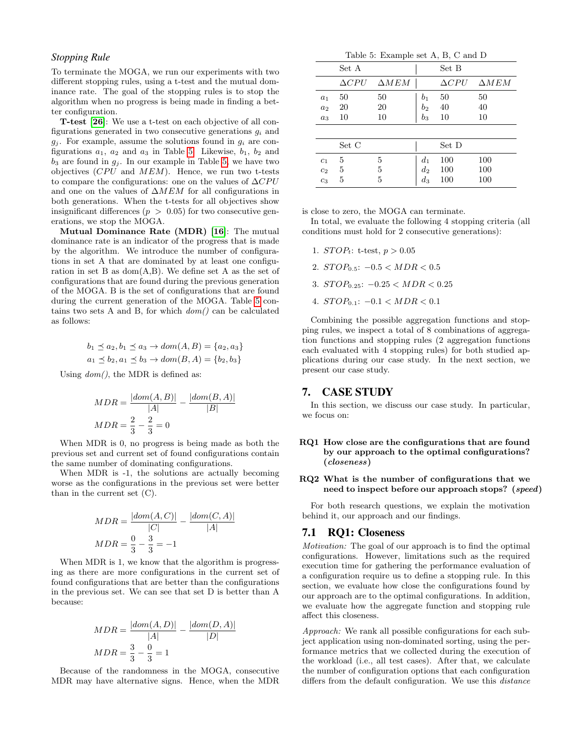#### *Stopping Rule*

To terminate the MOGA, we run our experiments with two different stopping rules, using a t-test and the mutual dominance rate. The goal of the stopping rules is to stop the algorithm when no progress is being made in finding a better configuration.

T-test [\[26\]](#page-11-12): We use a t-test on each objective of all configurations generated in two consecutive generations  $g_i$  and  $g_j$ . For example, assume the solutions found in  $g_i$  are configurations  $a_1$ ,  $a_2$  and  $a_3$  in Table [5.](#page-6-1) Likewise,  $b_1$ ,  $b_2$  and  $b_3$  are found in  $g_j$ . In our example in Table [5,](#page-6-1) we have two objectives  $(CPU$  and  $MEM)$ . Hence, we run two t-tests to compare the configurations: one on the values of  $\Delta CPU$ and one on the values of  $\Delta MEM$  for all configurations in both generations. When the t-tests for all objectives show insignificant differences ( $p > 0.05$ ) for two consecutive generations, we stop the MOGA.

Mutual Dominance Rate (MDR) [\[16\]](#page-11-13): The mutual dominance rate is an indicator of the progress that is made by the algorithm. We introduce the number of configurations in set A that are dominated by at least one configuration in set B as  $dom(A,B)$ . We define set A as the set of configurations that are found during the previous generation of the MOGA. B is the set of configurations that are found during the current generation of the MOGA. Table [5](#page-6-1) contains two sets A and B, for which *dom()* can be calculated as follows:

$$
b_1 \le a_2, b_1 \le a_3 \to dom(A, B) = \{a_2, a_3\}
$$
  

$$
a_1 \le b_2, a_1 \le b_3 \to dom(B, A) = \{b_2, b_3\}
$$

Using *dom()*, the MDR is defined as:

$$
MDR = \frac{|dom(A, B)|}{|A|} - \frac{|dom(B, A)|}{|B|}
$$

$$
MDR = \frac{2}{3} - \frac{2}{3} = 0
$$

When MDR is 0, no progress is being made as both the previous set and current set of found configurations contain the same number of dominating configurations.

When MDR is -1, the solutions are actually becoming worse as the configurations in the previous set were better than in the current set (C).

$$
MDR = \frac{|dom(A, C)|}{|C|} - \frac{|dom(C, A)|}{|A|}
$$

$$
MDR = \frac{0}{3} - \frac{3}{3} = -1
$$

When MDR is 1, we know that the algorithm is progressing as there are more configurations in the current set of found configurations that are better than the configurations in the previous set. We can see that set D is better than A because:

$$
MDR = \frac{|dom(A, D)|}{|A|} - \frac{|dom(D, A)|}{|D|}
$$

$$
MDR = \frac{3}{3} - \frac{0}{3} = 1
$$

Because of the randomness in the MOGA, consecutive MDR may have alternative signs. Hence, when the MDR

Table 5: Example set A, B, C and D

<span id="page-6-1"></span>

|                | Set A        |              |                  | Set B        |              |
|----------------|--------------|--------------|------------------|--------------|--------------|
|                | $\Delta CPU$ | $\Delta MEM$ |                  | $\Delta CPU$ | $\Delta MEM$ |
| $a_1$          | 50           | 50           | b <sub>1</sub>   | 50           | 50           |
| $a_2$          | 20           | 20           | $b_2$            | 40           | 40           |
| $a_3$          | 10           | 10           | $b_3$            | 10           | 10           |
|                |              |              |                  |              |              |
|                | Set C        |              |                  | Set D        |              |
| c <sub>1</sub> | 5            | 5            | $d_1$            | 100          | 100          |
| c <sub>2</sub> | 5            | 5            | $\mathfrak{d}_2$ | 100          | 100          |
| $c_3$          | 5            | 5            | $d_3$            | 100          | 100          |

is close to zero, the MOGA can terminate.

In total, we evaluate the following 4 stopping criteria (all conditions must hold for 2 consecutive generations):

- 1.  $STOP_t: t-test, p > 0.05$
- 2.  $STOP_{0.5}: -0.5 < MDR < 0.5$
- 3.  $STOP_{0.25}: -0.25 < MDR < 0.25$
- 4.  $STOP_{0.1}: -0.1 < MDR < 0.1$

Combining the possible aggregation functions and stopping rules, we inspect a total of 8 combinations of aggregation functions and stopping rules (2 aggregation functions each evaluated with 4 stopping rules) for both studied applications during our case study. In the next section, we present our case study.

## <span id="page-6-0"></span>7. CASE STUDY

In this section, we discuss our case study. In particular, we focus on:

- RQ1 How close are the configurations that are found by our approach to the optimal configurations? (closeness)
- RQ2 What is the number of configurations that we need to inspect before our approach stops? (speed)

For both research questions, we explain the motivation behind it, our approach and our findings.

#### 7.1 RQ1: Closeness

*Motivation:* The goal of our approach is to find the optimal configurations. However, limitations such as the required execution time for gathering the performance evaluation of a configuration require us to define a stopping rule. In this section, we evaluate how close the configurations found by our approach are to the optimal configurations. In addition, we evaluate how the aggregate function and stopping rule affect this closeness.

*Approach:* We rank all possible configurations for each subject application using non-dominated sorting, using the performance metrics that we collected during the execution of the workload (i.e., all test cases). After that, we calculate the number of configuration options that each configuration differs from the default configuration. We use this *distance*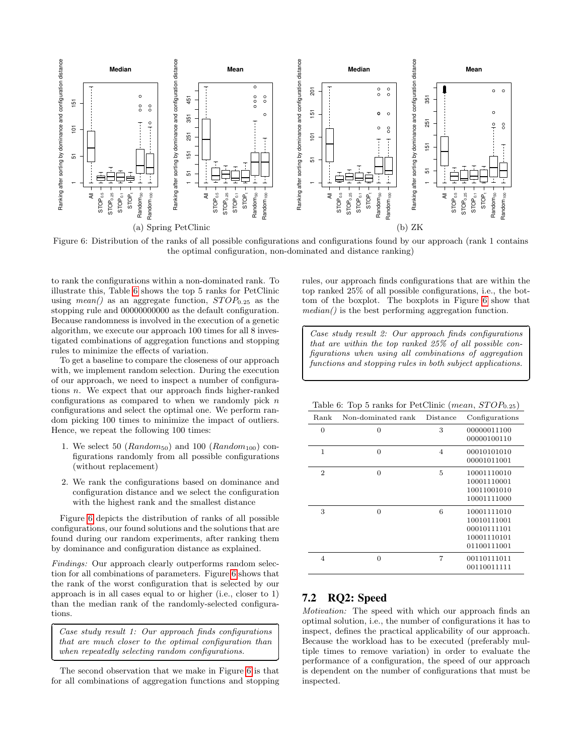<span id="page-7-1"></span>

Figure 6: Distribution of the ranks of all possible configurations and configurations found by our approach (rank 1 contains the optimal configuration, non-dominated and distance ranking)

✄

Ļ

to rank the configurations within a non-dominated rank. To illustrate this, Table [6](#page-7-0) shows the top 5 ranks for PetClinic using  $mean()$  as an aggregate function,  $STOP_{0.25}$  as the stopping rule and 00000000000 as the default configuration. Because randomness is involved in the execution of a genetic algorithm, we execute our approach 100 times for all 8 investigated combinations of aggregation functions and stopping rules to minimize the effects of variation.

To get a baseline to compare the closeness of our approach with, we implement random selection. During the execution of our approach, we need to inspect a number of configurations n. We expect that our approach finds higher-ranked configurations as compared to when we randomly pick  $n$ configurations and select the optimal one. We perform random picking 100 times to minimize the impact of outliers. Hence, we repeat the following 100 times:

- 1. We select 50 ( $Random_{50}$ ) and 100 ( $Random_{100}$ ) configurations randomly from all possible configurations (without replacement)
- 2. We rank the configurations based on dominance and configuration distance and we select the configuration with the highest rank and the smallest distance

Figure [6](#page-7-1) depicts the distribution of ranks of all possible configurations, our found solutions and the solutions that are found during our random experiments, after ranking them by dominance and configuration distance as explained.

*Findings:* Our approach clearly outperforms random selection for all combinations of parameters. Figure [6](#page-7-1) shows that the rank of the worst configuration that is selected by our approach is in all cases equal to or higher (i.e., closer to 1) than the median rank of the randomly-selected configurations.

*Case study result 1: Our approach finds configurations that are much closer to the optimal configuration than when repeatedly selecting random configurations.*

✄

 $\overline{a}$ 

The second observation that we make in Figure [6](#page-7-1) is that for all combinations of aggregation functions and stopping rules, our approach finds configurations that are within the top ranked 25% of all possible configurations, i.e., the bottom of the boxplot. The boxplots in Figure [6](#page-7-1) show that *median()* is the best performing aggregation function.

*Case study result 2: Our approach finds configurations that are within the top ranked 25% of all possible configurations when using all combinations of aggregation functions and stopping rules in both subject applications.*

Ĭ.

Į.

<span id="page-7-0"></span>Table 6: Top 5 ranks for PetClinic (mean,  $STOP_{0.25}$ )

| Rank           | Non-dominated rank | Distance       | Configurations |
|----------------|--------------------|----------------|----------------|
| 0              | $\Omega$           | 3              | 00000011100    |
|                |                    |                | 00000100110    |
| 1              | $\Omega$           | $\overline{4}$ | 00010101010    |
|                |                    |                | 00001011001    |
| $\overline{2}$ | $\Omega$           | 5              | 10001110010    |
|                |                    |                | 10001110001    |
|                |                    |                | 10011001010    |
|                |                    |                | 10001111000    |
| 3              | $\Omega$           | 6              | 10001111010    |
|                |                    |                | 10010111001    |
|                |                    |                | 00010111101    |
|                |                    |                | 10001110101    |
|                |                    |                | 01100111001    |
| $\overline{4}$ | $\Omega$           | 7              | 00110111011    |
|                |                    |                | 00110011111    |

# 7.2 RQ2: Speed

Ĭ.

Į.

*Motivation:* The speed with which our approach finds an optimal solution, i.e., the number of configurations it has to inspect, defines the practical applicability of our approach. Because the workload has to be executed (preferably multiple times to remove variation) in order to evaluate the performance of a configuration, the speed of our approach is dependent on the number of configurations that must be inspected.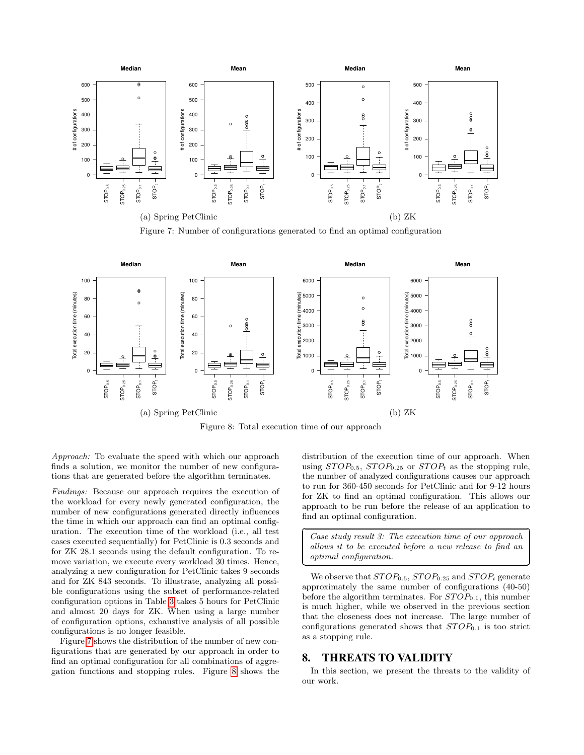<span id="page-8-1"></span>



<span id="page-8-2"></span>

Figure 8: Total execution time of our approach

✄

Ļ

*Approach:* To evaluate the speed with which our approach finds a solution, we monitor the number of new configurations that are generated before the algorithm terminates.

*Findings:* Because our approach requires the execution of the workload for every newly generated configuration, the number of new configurations generated directly influences the time in which our approach can find an optimal configuration. The execution time of the workload (i.e., all test cases executed sequentially) for PetClinic is 0.3 seconds and for ZK 28.1 seconds using the default configuration. To remove variation, we execute every workload 30 times. Hence, analyzing a new configuration for PetClinic takes 9 seconds and for ZK 843 seconds. To illustrate, analyzing all possible configurations using the subset of performance-related configuration options in Table [3](#page-2-1) takes 5 hours for PetClinic and almost 20 days for ZK. When using a large number of configuration options, exhaustive analysis of all possible configurations is no longer feasible.

Figure [7](#page-8-1) shows the distribution of the number of new configurations that are generated by our approach in order to find an optimal configuration for all combinations of aggregation functions and stopping rules. Figure [8](#page-8-2) shows the distribution of the execution time of our approach. When using  $STOP_{0.5}$ ,  $STOP_{0.25}$  or  $STOP_t$  as the stopping rule, the number of analyzed configurations causes our approach to run for 360-450 seconds for PetClinic and for 9-12 hours for ZK to find an optimal configuration. This allows our approach to be run before the release of an application to find an optimal configuration.

*Case study result 3: The execution time of our approach allows it to be executed before a new release to find an optimal configuration.*

Ĭ.

Į.

We observe that  $STOP_{0.5}, STOP_{0.25}$  and  $STOP_t$  generate approximately the same number of configurations (40-50) before the algorithm terminates. For  $STOP_{0,1}$ , this number is much higher, while we observed in the previous section that the closeness does not increase. The large number of configurations generated shows that  $STOP_{0.1}$  is too strict as a stopping rule.

# <span id="page-8-0"></span>8. THREATS TO VALIDITY

In this section, we present the threats to the validity of our work.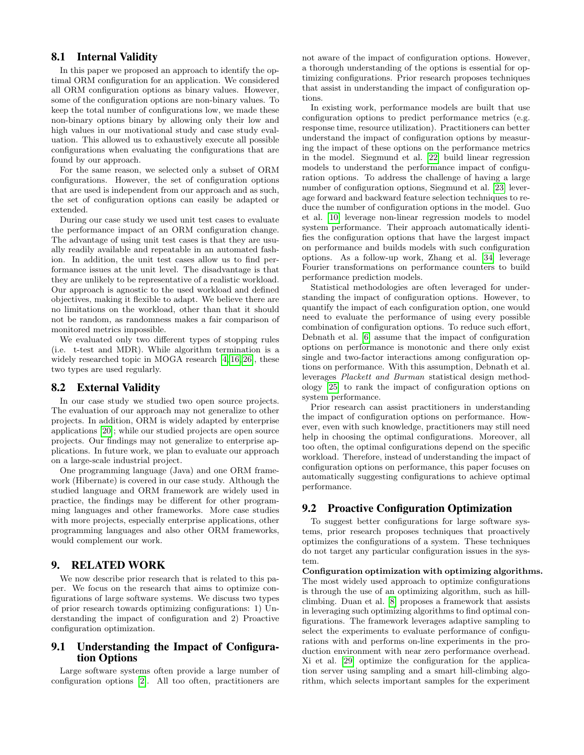# 8.1 Internal Validity

In this paper we proposed an approach to identify the optimal ORM configuration for an application. We considered all ORM configuration options as binary values. However, some of the configuration options are non-binary values. To keep the total number of configurations low, we made these non-binary options binary by allowing only their low and high values in our motivational study and case study evaluation. This allowed us to exhaustively execute all possible configurations when evaluating the configurations that are found by our approach.

For the same reason, we selected only a subset of ORM configurations. However, the set of configuration options that are used is independent from our approach and as such, the set of configuration options can easily be adapted or extended.

During our case study we used unit test cases to evaluate the performance impact of an ORM configuration change. The advantage of using unit test cases is that they are usually readily available and repeatable in an automated fashion. In addition, the unit test cases allow us to find performance issues at the unit level. The disadvantage is that they are unlikely to be representative of a realistic workload. Our approach is agnostic to the used workload and defined objectives, making it flexible to adapt. We believe there are no limitations on the workload, other than that it should not be random, as randomness makes a fair comparison of monitored metrics impossible.

We evaluated only two different types of stopping rules (i.e. t-test and MDR). While algorithm termination is a widely researched topic in MOGA research [\[4,](#page-10-5) [16,](#page-11-13) [26\]](#page-11-12), these two types are used regularly.

## 8.2 External Validity

In our case study we studied two open source projects. The evaluation of our approach may not generalize to other projects. In addition, ORM is widely adapted by enterprise applications [\[20\]](#page-11-14); while our studied projects are open source projects. Our findings may not generalize to enterprise applications. In future work, we plan to evaluate our approach on a large-scale industrial project.

One programming language (Java) and one ORM framework (Hibernate) is covered in our case study. Although the studied language and ORM framework are widely used in practice, the findings may be different for other programming languages and other frameworks. More case studies with more projects, especially enterprise applications, other programming languages and also other ORM frameworks, would complement our work.

## <span id="page-9-0"></span>9. RELATED WORK

We now describe prior research that is related to this paper. We focus on the research that aims to optimize configurations of large software systems. We discuss two types of prior research towards optimizing configurations: 1) Understanding the impact of configuration and 2) Proactive configuration optimization.

## <span id="page-9-1"></span>9.1 Understanding the Impact of Configuration Options

Large software systems often provide a large number of configuration options [\[2\]](#page-10-7). All too often, practitioners are

not aware of the impact of configuration options. However, a thorough understanding of the options is essential for optimizing configurations. Prior research proposes techniques that assist in understanding the impact of configuration options.

In existing work, performance models are built that use configuration options to predict performance metrics (e.g. response time, resource utilization). Practitioners can better understand the impact of configuration options by measuring the impact of these options on the performance metrics in the model. Siegmund et al. [\[22\]](#page-11-15) build linear regression models to understand the performance impact of configuration options. To address the challenge of having a large number of configuration options, Siegmund et al. [\[23\]](#page-11-16) leverage forward and backward feature selection techniques to reduce the number of configuration options in the model. Guo et al. [\[10\]](#page-10-8) leverage non-linear regression models to model system performance. Their approach automatically identifies the configuration options that have the largest impact on performance and builds models with such configuration options. As a follow-up work, Zhang et al. [\[34\]](#page-11-5) leverage Fourier transformations on performance counters to build performance prediction models.

Statistical methodologies are often leveraged for understanding the impact of configuration options. However, to quantify the impact of each configuration option, one would need to evaluate the performance of using every possible combination of configuration options. To reduce such effort, Debnath et al. [\[6\]](#page-10-9) assume that the impact of configuration options on performance is monotonic and there only exist single and two-factor interactions among configuration options on performance. With this assumption, Debnath et al. leverages *Plackett and Burman* statistical design methodology [\[25\]](#page-11-17) to rank the impact of configuration options on system performance.

Prior research can assist practitioners in understanding the impact of configuration options on performance. However, even with such knowledge, practitioners may still need help in choosing the optimal configurations. Moreover, all too often, the optimal configurations depend on the specific workload. Therefore, instead of understanding the impact of configuration options on performance, this paper focuses on automatically suggesting configurations to achieve optimal performance.

## 9.2 Proactive Configuration Optimization

To suggest better configurations for large software systems, prior research proposes techniques that proactively optimizes the configurations of a system. These techniques do not target any particular configuration issues in the system.

Configuration optimization with optimizing algorithms. The most widely used approach to optimize configurations is through the use of an optimizing algorithm, such as hillclimbing. Duan et al. [\[8\]](#page-10-10) proposes a framework that assists in leveraging such optimizing algorithms to find optimal configurations. The framework leverages adaptive sampling to select the experiments to evaluate performance of configurations with and performs on-line experiments in the production environment with near zero performance overhead. Xi et al. [\[29\]](#page-11-18) optimize the configuration for the application server using sampling and a smart hill-climbing algorithm, which selects important samples for the experiment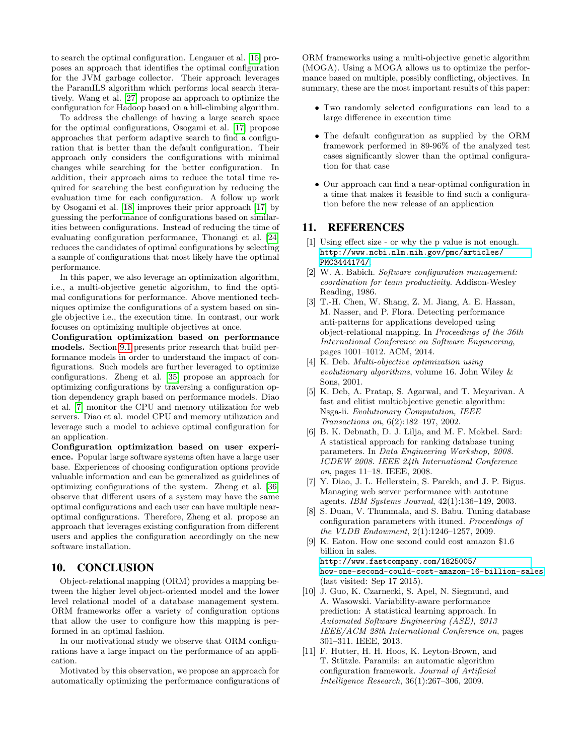to search the optimal configuration. Lengauer et al. [\[15\]](#page-11-2) proposes an approach that identifies the optimal configuration for the JVM garbage collector. Their approach leverages the ParamILS algorithm which performs local search iteratively. Wang et al. [\[27\]](#page-11-19) propose an approach to optimize the configuration for Hadoop based on a hill-climbing algorithm.

To address the challenge of having a large search space for the optimal configurations, Osogami et al. [\[17\]](#page-11-20) propose approaches that perform adaptive search to find a configuration that is better than the default configuration. Their approach only considers the configurations with minimal changes while searching for the better configuration. In addition, their approach aims to reduce the total time required for searching the best configuration by reducing the evaluation time for each configuration. A follow up work by Osogami et al. [\[18\]](#page-11-21) improves their prior approach [\[17\]](#page-11-20) by guessing the performance of configurations based on similarities between configurations. Instead of reducing the time of evaluating configuration performance, Thonangi et al. [\[24\]](#page-11-22) reduces the candidates of optimal configurations by selecting a sample of configurations that most likely have the optimal performance.

In this paper, we also leverage an optimization algorithm, i.e., a multi-objective genetic algorithm, to find the optimal configurations for performance. Above mentioned techniques optimize the configurations of a system based on single objective i.e., the execution time. In contrast, our work focuses on optimizing multiple objectives at once.

Configuration optimization based on performance models. Section [9.1](#page-9-1) presents prior research that build performance models in order to understand the impact of configurations. Such models are further leveraged to optimize configurations. Zheng et al. [\[35\]](#page-11-23) propose an approach for optimizing configurations by traversing a configuration option dependency graph based on performance models. Diao et al. [\[7\]](#page-10-11) monitor the CPU and memory utilization for web servers. Diao et al. model CPU and memory utilization and leverage such a model to achieve optimal configuration for an application.

Configuration optimization based on user experience. Popular large software systems often have a large user base. Experiences of choosing configuration options provide valuable information and can be generalized as guidelines of optimizing configurations of the system. Zheng et al. [\[36\]](#page-11-24) observe that different users of a system may have the same optimal configurations and each user can have multiple nearoptimal configurations. Therefore, Zheng et al. propose an approach that leverages existing configuration from different users and applies the configuration accordingly on the new software installation.

## <span id="page-10-3"></span>10. CONCLUSION

Object-relational mapping (ORM) provides a mapping between the higher level object-oriented model and the lower level relational model of a database management system. ORM frameworks offer a variety of configuration options that allow the user to configure how this mapping is performed in an optimal fashion.

In our motivational study we observe that ORM configurations have a large impact on the performance of an application.

Motivated by this observation, we propose an approach for automatically optimizing the performance configurations of ORM frameworks using a multi-objective genetic algorithm (MOGA). Using a MOGA allows us to optimize the performance based on multiple, possibly conflicting, objectives. In summary, these are the most important results of this paper:

- Two randomly selected configurations can lead to a large difference in execution time
- The default configuration as supplied by the ORM framework performed in 89-96% of the analyzed test cases significantly slower than the optimal configuration for that case
- Our approach can find a near-optimal configuration in a time that makes it feasible to find such a configuration before the new release of an application

## 11. REFERENCES

- <span id="page-10-4"></span>[1] Using effect size - or why the p value is not enough. [http://www.ncbi.nlm.nih.gov/pmc/articles/](http://www.ncbi.nlm.nih.gov/pmc/articles/PMC3444174/) [PMC3444174/](http://www.ncbi.nlm.nih.gov/pmc/articles/PMC3444174/).
- <span id="page-10-7"></span>[2] W. A. Babich. *Software configuration management: coordination for team productivity*. Addison-Wesley Reading, 1986.
- <span id="page-10-2"></span>[3] T.-H. Chen, W. Shang, Z. M. Jiang, A. E. Hassan, M. Nasser, and P. Flora. Detecting performance anti-patterns for applications developed using object-relational mapping. In *Proceedings of the 36th International Conference on Software Engineering*, pages 1001–1012. ACM, 2014.
- <span id="page-10-5"></span>[4] K. Deb. *Multi-objective optimization using evolutionary algorithms*, volume 16. John Wiley & Sons, 2001.
- <span id="page-10-6"></span>[5] K. Deb, A. Pratap, S. Agarwal, and T. Meyarivan. A fast and elitist multiobjective genetic algorithm: Nsga-ii. *Evolutionary Computation, IEEE Transactions on*, 6(2):182–197, 2002.
- <span id="page-10-9"></span>[6] B. K. Debnath, D. J. Lilja, and M. F. Mokbel. Sard: A statistical approach for ranking database tuning parameters. In *Data Engineering Workshop, 2008. ICDEW 2008. IEEE 24th International Conference on*, pages 11–18. IEEE, 2008.
- <span id="page-10-11"></span>[7] Y. Diao, J. L. Hellerstein, S. Parekh, and J. P. Bigus. Managing web server performance with autotune agents. *IBM Systems Journal*, 42(1):136–149, 2003.
- <span id="page-10-10"></span>[8] S. Duan, V. Thummala, and S. Babu. Tuning database configuration parameters with ituned. *Proceedings of the VLDB Endowment*, 2(1):1246–1257, 2009.
- <span id="page-10-1"></span>[9] K. Eaton. How one second could cost amazon \$1.6 billion in sales. [http://www.fastcompany.com/1825005/](http://www.fastcompany.com/1825005/how-one-second-could-cost-amazon-16-billion-sales) [how-one-second-could-cost-amazon-16-billion-sales](http://www.fastcompany.com/1825005/how-one-second-could-cost-amazon-16-billion-sales)
- <span id="page-10-8"></span>(last visited: Sep 17 2015). [10] J. Guo, K. Czarnecki, S. Apel, N. Siegmund, and A. Wasowski. Variability-aware performance
- prediction: A statistical learning approach. In *Automated Software Engineering (ASE), 2013 IEEE/ACM 28th International Conference on*, pages 301–311. IEEE, 2013.
- <span id="page-10-0"></span>[11] F. Hutter, H. H. Hoos, K. Leyton-Brown, and T. Stützle. Paramils: an automatic algorithm configuration framework. *Journal of Artificial Intelligence Research*, 36(1):267–306, 2009.